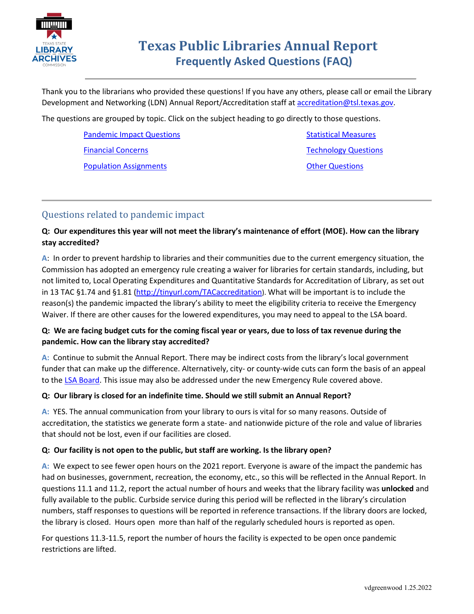

Thank you to the librarians who provided these questions! If you have any others, please call or email the Library Development and Networking (LDN) Annual Report/Accreditation staff at [accreditation@tsl.texas.gov.](mailto:accreditation@tsl.texas.gov)

The questions are grouped by topic. Click on the subject heading to go directly to those questions.

[Pandemic Impact Questions](#page-0-0) [Financial Concerns](#page-1-0) [Population Assignments](#page-3-0)

[Statistical Measures](#page-4-0) [Technology Questions](#page-6-0) **[Other Questions](#page-6-1)** 

## <span id="page-0-0"></span>Questions related to pandemic impact

## **Q: Our expenditures this year will not meet the library's maintenance of effort (MOE). How can the library stay accredited?**

**A**: In order to prevent hardship to libraries and their communities due to the current emergency situation, the Commission has adopted an emergency rule creating a waiver for libraries for certain standards, including, but not limited to, Local Operating Expenditures and Quantitative Standards for Accreditation of Library, as set out in 13 TAC §1.74 and §1.81 [\(http://tinyurl.com/TACaccreditation\)](http://tinyurl.com/TACaccreditation). What will be important is to include the reason(s) the pandemic impacted the library's ability to meet the eligibility criteria to receive the Emergency Waiver. If there are other causes for the lowered expenditures, you may need to appeal to the LSA board.

## **Q: We are facing budget cuts for the coming fiscal year or years, due to loss of tax revenue during the pandemic. How can the library stay accredited?**

**A:** Continue to submit the Annual Report. There may be indirect costs from the library's local government funder that can make up the difference. Alternatively, city- or county-wide cuts can form the basis of an appeal to the [LSA Board.](https://www.tsl.texas.gov/ld/pubs/libsysact/board.html) This issue may also be addressed under the new Emergency Rule covered above.

## **Q: Our library is closed for an indefinite time. Should we still submit an Annual Report?**

**A:** YES. The annual communication from your library to ours is vital for so many reasons. Outside of accreditation, the statistics we generate form a state- and nationwide picture of the role and value of libraries that should not be lost, even if our facilities are closed.

## **Q: Our facility is not open to the public, but staff are working. Is the library open?**

**A:** We expect to see fewer open hours on the 2021 report. Everyone is aware of the impact the pandemic has had on businesses, government, recreation, the economy, etc., so this will be reflected in the Annual Report. In questions 11.1 and 11.2, report the actual number of hours and weeks that the library facility was **unlocked** and fully available to the public. Curbside service during this period will be reflected in the library's circulation numbers, staff responses to questions will be reported in reference transactions. If the library doors are locked, the library is closed. Hours open more than half of the regularly scheduled hours is reported as open.

For questions 11.3-11.5, report the number of hours the facility is expected to be open once pandemic restrictions are lifted.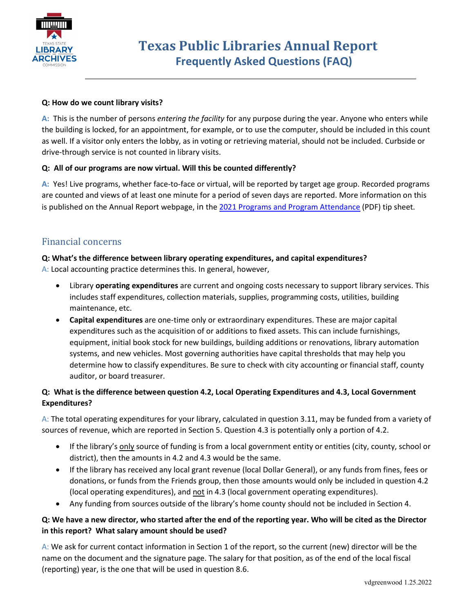

#### **Q: How do we count library visits?**

**A:** This is the number of persons *entering the facility* for any purpose during the year. Anyone who enters while the building is locked, for an appointment, for example, or to use the computer, should be included in this count as well. If a visitor only enters the lobby, as in voting or retrieving material, should not be included. Curbside or drive-through service is not counted in library visits.

#### **Q: All of our programs are now virtual. Will this be counted differently?**

**A:** Yes! Live programs, whether face-to-face or virtual, will be reported by target age group. Recorded programs are counted and views of at least one minute for a period of seven days are reported. More information on this is published on the Annual Report webpage, in the [2021 Programs and Program Attendance](https://www.tsl.texas.gov/sites/default/files/public/tslac/ld/ldn/accreditation/presentations/2021-Reporting-Programs-rv.pdf) (PDF) tip sheet.

## <span id="page-1-0"></span>Financial concerns

## **Q: What's the difference between library operating expenditures, and capital expenditures?**

A: Local accounting practice determines this. In general, however,

- Library **operating expenditures** are current and ongoing costs necessary to support library services. This includes staff expenditures, collection materials, supplies, programming costs, utilities, building maintenance, etc.
- **Capital expenditures** are one-time only or extraordinary expenditures. These are major capital expenditures such as the acquisition of or additions to fixed assets. This can include furnishings, equipment, initial book stock for new buildings, building additions or renovations, library automation systems, and new vehicles. Most governing authorities have capital thresholds that may help you determine how to classify expenditures. Be sure to check with city accounting or financial staff, county auditor, or board treasurer.

## **Q: What is the difference between question 4.2, Local Operating Expenditures and 4.3, Local Government Expenditures?**

A: The total operating expenditures for your library, calculated in question 3.11, may be funded from a variety of sources of revenue, which are reported in Section 5. Question 4.3 is potentially only a portion of 4.2.

- If the library's only source of funding is from a local government entity or entities (city, county, school or district), then the amounts in 4.2 and 4.3 would be the same.
- If the library has received any local grant revenue (local Dollar General), or any funds from fines, fees or donations, or funds from the Friends group, then those amounts would only be included in question 4.2 (local operating expenditures), and not in 4.3 (local government operating expenditures).
- Any funding from sources outside of the library's home county should not be included in Section 4.

## **Q: We have a new director, who started after the end of the reporting year. Who will be cited as the Director in this report? What salary amount should be used?**

A: We ask for current contact information in Section 1 of the report, so the current (new) director will be the name on the document and the signature page. The salary for that position, as of the end of the local fiscal (reporting) year, is the one that will be used in question 8.6.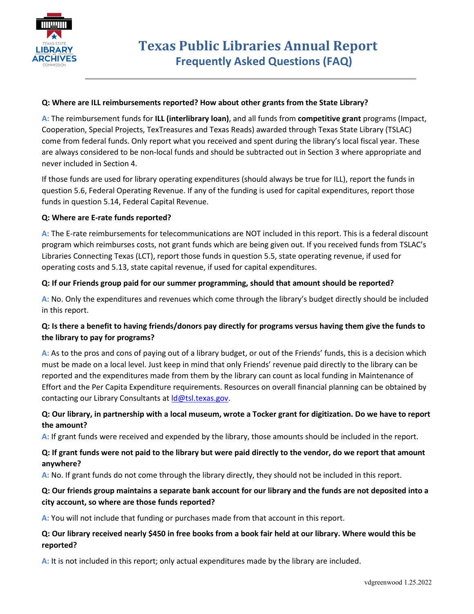

#### **Q: Where are ILL reimbursements reported? How about other grants from the State Library?**

**A:** The reimbursement funds for **ILL (interlibrary loan)**, and all funds from **competitive grant** programs (Impact, Cooperation, Special Projects, TexTreasures and Texas Reads) awarded through Texas State Library (TSLAC) come from federal funds. Only report what you received and spent during the library's local fiscal year. These are always considered to be non-local funds and should be subtracted out in Section 3 where appropriate and never included in Section 4.

If those funds are used for library operating expenditures (should always be true for ILL), report the funds in question 5.6, Federal Operating Revenue. If any of the funding is used for capital expenditures, report those funds in question 5.14, Federal Capital Revenue.

#### **Q: Where are E-rate funds reported?**

**A:** The E-rate reimbursements for telecommunications are NOT included in this report. This is a federal discount program which reimburses costs, not grant funds which are being given out. If you received funds from TSLAC's Libraries Connecting Texas (LCT), report those funds in question 5.5, state operating revenue, if used for operating costs and 5.13, state capital revenue, if used for capital expenditures.

#### **Q: If our Friends group paid for our summer programming, should that amount should be reported?**

**A:** No. Only the expenditures and revenues which come through the library's budget directly should be included in this report.

## **Q: Is there a benefit to having friends/donors pay directly for programs versus having them give the funds to the library to pay for programs?**

**A:** As to the pros and cons of paying out of a library budget, or out of the Friends' funds, this is a decision which must be made on a local level. Just keep in mind that only Friends' revenue paid directly to the library can be reported and the expenditures made from them by the library can count as local funding in Maintenance of Effort and the Per Capita Expenditure requirements. Resources on overall financial planning can be obtained by contacting our Library Consultants at Id@tsl.texas.gov.

## **Q: Our library, in partnership with a local museum, wrote a Tocker grant for digitization. Do we have to report the amount?**

**A:** If grant funds were received and expended by the library, those amounts should be included in the report.

## **Q: If grant funds were not paid to the library but were paid directly to the vendor, do we report that amount anywhere?**

**A:** No. If grant funds do not come through the library directly, they should not be included in this report.

## **Q: Our friends group maintains a separate bank account for our library and the funds are not deposited into a city account, so where are those funds reported?**

**A:** You will not include that funding or purchases made from that account in this report.

## **Q: Our library received nearly \$450 in free books from a book fair held at our library. Where would this be reported?**

**A:** It is not included in this report; only actual expenditures made by the library are included.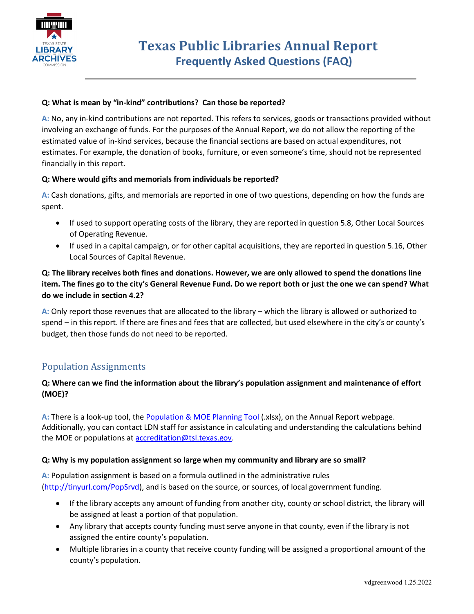

#### **Q: What is mean by "in-kind" contributions? Can those be reported?**

**A:** No, any in-kind contributions are not reported. This refers to services, goods or transactions provided without involving an exchange of funds. For the purposes of the Annual Report, we do not allow the reporting of the estimated value of in-kind services, because the financial sections are based on actual expenditures, not estimates. For example, the donation of books, furniture, or even someone's time, should not be represented financially in this report.

#### **Q: Where would gifts and memorials from individuals be reported?**

**A:** Cash donations, gifts, and memorials are reported in one of two questions, depending on how the funds are spent.

- If used to support operating costs of the library, they are reported in question 5.8, Other Local Sources of Operating Revenue.
- If used in a capital campaign, or for other capital acquisitions, they are reported in question 5.16, Other Local Sources of Capital Revenue.

## **Q: The library receives both fines and donations. However, we are only allowed to spend the donations line item. The fines go to the city's General Revenue Fund. Do we report both or just the one we can spend? What do we include in section 4.2?**

**A:** Only report those revenues that are allocated to the library – which the library is allowed or authorized to spend – in this report. If there are fines and fees that are collected, but used elsewhere in the city's or county's budget, then those funds do not need to be reported.

## <span id="page-3-0"></span>Population Assignments

## **Q: Where can we find the information about the library's population assignment and maintenance of effort (MOE)?**

A: There is a look-up tool, the **Population & MOE Planning Tool** [\(](https://www.tsl.texas.gov/sites/default/files/public/tslac/ld/ldn/accreditation/2019.MOE-WebTool.xlsx)xlsx), on the Annual Report webpage. Additionally, you can contact LDN staff for assistance in calculating and understanding the calculations behind the MOE or populations at **accreditation@tsl.texas.gov**.

#### **Q: Why is my population assignment so large when my community and library are so small?**

**A:** Population assignment is based on a formula outlined in the administrative rules [\(http://tinyurl.com/PopSrvd\)](http://tinyurl.com/PopSrvd), and is based on the source, or sources, of local government funding.

- If the library accepts any amount of funding from another city, county or school district, the library will be assigned at least a portion of that population.
- Any library that accepts county funding must serve anyone in that county, even if the library is not assigned the entire county's population.
- Multiple libraries in a county that receive county funding will be assigned a proportional amount of the county's population.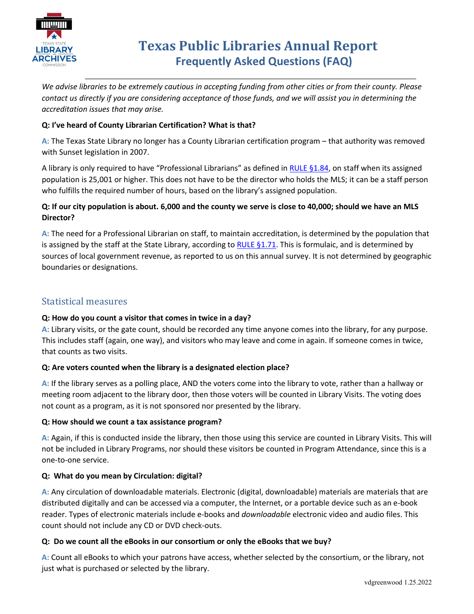

*We advise libraries to be extremely cautious in accepting funding from other cities or from their county. Please contact us directly if you are considering acceptance of those funds, and we will assist you in determining the accreditation issues that may arise.* 

## **Q: I've heard of County Librarian Certification? What is that?**

**A:** The Texas State Library no longer has a County Librarian certification program – that authority was removed with Sunset legislation in 2007.

A library is only required to have "Professional Librarians" as defined in [RULE §1.84,](http://texreg.sos.state.tx.us/public/readtac$ext.TacPage?sl=R&app=9&p_dir=&p_rloc=&p_tloc=&p_ploc=&pg=1&p_tac=&ti=13&pt=1&ch=1&rl=84) on staff when its assigned population is 25,001 or higher. This does not have to be the director who holds the MLS; it can be a staff person who fulfills the required number of hours, based on the library's assigned population.

## **Q: If our city population is about. 6,000 and the county we serve is close to 40,000; should we have an MLS Director?**

**A:** The need for a Professional Librarian on staff, to maintain accreditation, is determined by the population that is assigned by the staff at the State Library, according to RULE  $\S$ 1.71. This is formulaic, and is determined by sources of local government revenue, as reported to us on this annual survey. It is not determined by geographic boundaries or designations.

## <span id="page-4-0"></span>Statistical measures

## **Q: How do you count a visitor that comes in twice in a day?**

**A:** Library visits, or the gate count, should be recorded any time anyone comes into the library, for any purpose. This includes staff (again, one way), and visitors who may leave and come in again. If someone comes in twice, that counts as two visits.

## **Q: Are voters counted when the library is a designated election place?**

**A:** If the library serves as a polling place, AND the voters come into the library to vote, rather than a hallway or meeting room adjacent to the library door, then those voters will be counted in Library Visits. The voting does not count as a program, as it is not sponsored nor presented by the library.

## **Q: How should we count a tax assistance program?**

**A:** Again, if this is conducted inside the library, then those using this service are counted in Library Visits. This will not be included in Library Programs, nor should these visitors be counted in Program Attendance, since this is a one-to-one service.

## **Q: What do you mean by Circulation: digital?**

**A:** Any circulation of downloadable materials. Electronic (digital, downloadable) materials are materials that are distributed digitally and can be accessed via a computer, the Internet, or a portable device such as an e-book reader. Types of electronic materials include e-books and *downloadable* electronic video and audio files. This count should not include any CD or DVD check-outs.

## **Q: Do we count all the eBooks in our consortium or only the eBooks that we buy?**

**A:** Count all eBooks to which your patrons have access, whether selected by the consortium, or the library, not just what is purchased or selected by the library.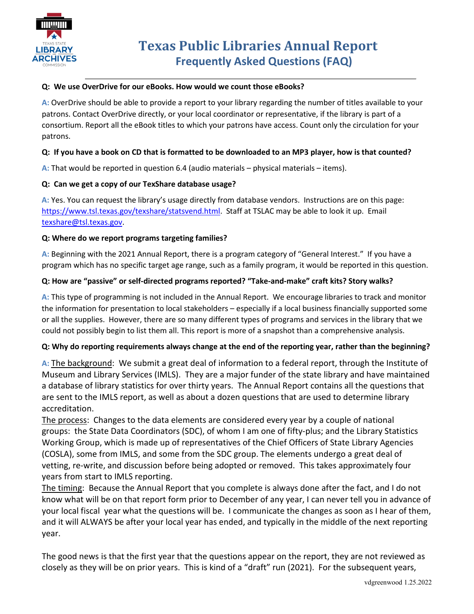

#### **Q: We use OverDrive for our eBooks. How would we count those eBooks?**

**A:** OverDrive should be able to provide a report to your library regarding the number of titles available to your patrons. Contact OverDrive directly, or your local coordinator or representative, if the library is part of a consortium. Report all the eBook titles to which your patrons have access. Count only the circulation for your patrons.

#### **Q: If you have a book on CD that is formatted to be downloaded to an MP3 player, how is that counted?**

**A:** That would be reported in question 6.4 (audio materials – physical materials – items).

#### **Q: Can we get a copy of our TexShare database usage?**

**A:** Yes. You can request the library's usage directly from database vendors. Instructions are on this page: [https://www.tsl.texas.gov/texshare/statsvend.html.](https://www.tsl.texas.gov/texshare/statsvend.html) Staff at TSLAC may be able to look it up. Email [texshare@tsl.texas.gov.](mailto:texshare@tsl.texas.gov)

#### **Q: Where do we report programs targeting families?**

**A:** Beginning with the 2021 Annual Report, there is a program category of "General Interest." If you have a program which has no specific target age range, such as a family program, it would be reported in this question.

#### **Q: How are "passive" or self-directed programs reported? "Take-and-make" craft kits? Story walks?**

**A:** This type of programming is not included in the Annual Report. We encourage libraries to track and monitor the information for presentation to local stakeholders – especially if a local business financially supported some or all the supplies. However, there are so many different types of programs and services in the library that we could not possibly begin to list them all. This report is more of a snapshot than a comprehensive analysis.

#### **Q: Why do reporting requirements always change at the end of the reporting year, rather than the beginning?**

**A:** The background: We submit a great deal of information to a federal report, through the Institute of Museum and Library Services (IMLS). They are a major funder of the state library and have maintained a database of library statistics for over thirty years. The Annual Report contains all the questions that are sent to the IMLS report, as well as about a dozen questions that are used to determine library accreditation.

The process: Changes to the data elements are considered every year by a couple of national groups: the State Data Coordinators (SDC), of whom I am one of fifty-plus; and the Library Statistics Working Group, which is made up of representatives of the Chief Officers of State Library Agencies (COSLA), some from IMLS, and some from the SDC group. The elements undergo a great deal of vetting, re-write, and discussion before being adopted or removed. This takes approximately four years from start to IMLS reporting.

The timing: Because the Annual Report that you complete is always done after the fact, and I do not know what will be on that report form prior to December of any year, I can never tell you in advance of your local fiscal year what the questions will be. I communicate the changes as soon as I hear of them, and it will ALWAYS be after your local year has ended, and typically in the middle of the next reporting year.

The good news is that the first year that the questions appear on the report, they are not reviewed as closely as they will be on prior years. This is kind of a "draft" run (2021). For the subsequent years,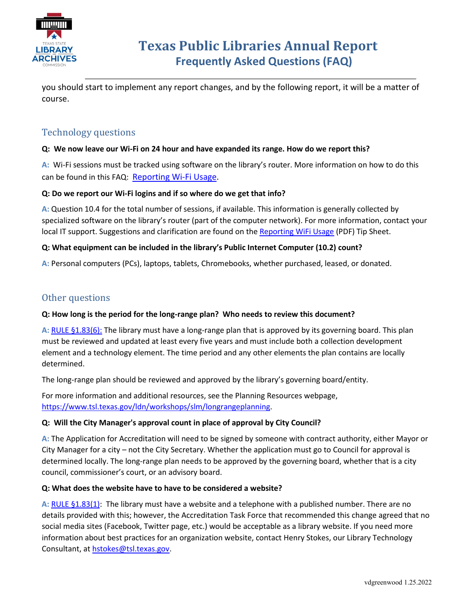

you should start to implement any report changes, and by the following report, it will be a matter of course.

## <span id="page-6-0"></span>Technology questions

#### **Q: We now leave our Wi-Fi on 24 hour and have expanded its range. How do we report this?**

**A:** Wi-Fi sessions must be tracked using software on the library's router. More information on how to do this can be found in this FAQ: [Reporting Wi-Fi Usage.](https://www.tsl.texas.gov/sites/default/files/public/tslac/ld/ldn/accreditation/annualreport/FAQ-WiFi%20Sessions.pdf)

#### **Q: Do we report our Wi-Fi logins and if so where do we get that info?**

**A:** Question 10.4 for the total number of sessions, if available. This information is generally collected by specialized software on the library's router (part of the computer network). For more information, contact your local IT support. Suggestions and clarification are found on th[e Reporting WiFi Usage](https://www.tsl.texas.gov/sites/default/files/public/tslac/ld/ldn/accreditation/annualreport/FAQ-WiFi%20Sessions.pdf) (PDF) Tip Sheet.

#### **Q: What equipment can be included in the library's Public Internet Computer (10.2) count?**

**A:** Personal computers (PCs), laptops, tablets, Chromebooks, whether purchased, leased, or donated.

## <span id="page-6-1"></span>Other questions

#### **Q: How long is the period for the long-range plan? Who needs to review this document?**

**A:** [RULE §1.83\(6\):](http://texreg.sos.state.tx.us/public/readtac$ext.TacPage?sl=R&app=9&p_dir=&p_rloc=&p_tloc=&p_ploc=&pg=1&p_tac=&ti=13&pt=1&ch=1&rl=83) The library must have a long-range plan that is approved by its governing board. This plan must be reviewed and updated at least every five years and must include both a collection development element and a technology element. The time period and any other elements the plan contains are locally determined.

The long-range plan should be reviewed and approved by the library's governing board/entity.

For more information and additional resources, see the Planning Resources webpage, [https://www.tsl.texas.gov/ldn/workshops/slm/longrangeplanning.](https://www.tsl.texas.gov/ldn/workshops/slm/longrangeplanning)

#### **Q: Will the City Manager's approval count in place of approval by City Council?**

**A:** The Application for Accreditation will need to be signed by someone with contract authority, either Mayor or City Manager for a city – not the City Secretary. Whether the application must go to Council for approval is determined locally. The long-range plan needs to be approved by the governing board, whether that is a city council, commissioner's court, or an advisory board.

#### **Q: What does the website have to have to be considered a website?**

**A:** [RULE §1.83\(1\):](http://texreg.sos.state.tx.us/public/readtac$ext.TacPage?sl=R&app=9&p_dir=&p_rloc=&p_tloc=&p_ploc=&pg=1&p_tac=&ti=13&pt=1&ch=1&rl=83) The library must have a website and a telephone with a published number. There are no details provided with this; however, the Accreditation Task Force that recommended this change agreed that no social media sites (Facebook, Twitter page, etc.) would be acceptable as a library website. If you need more information about best practices for an organization website, contact Henry Stokes, our Library Technology Consultant, at [hstokes@tsl.texas.gov.](mailto:hstokes@tsl.texas.gov)